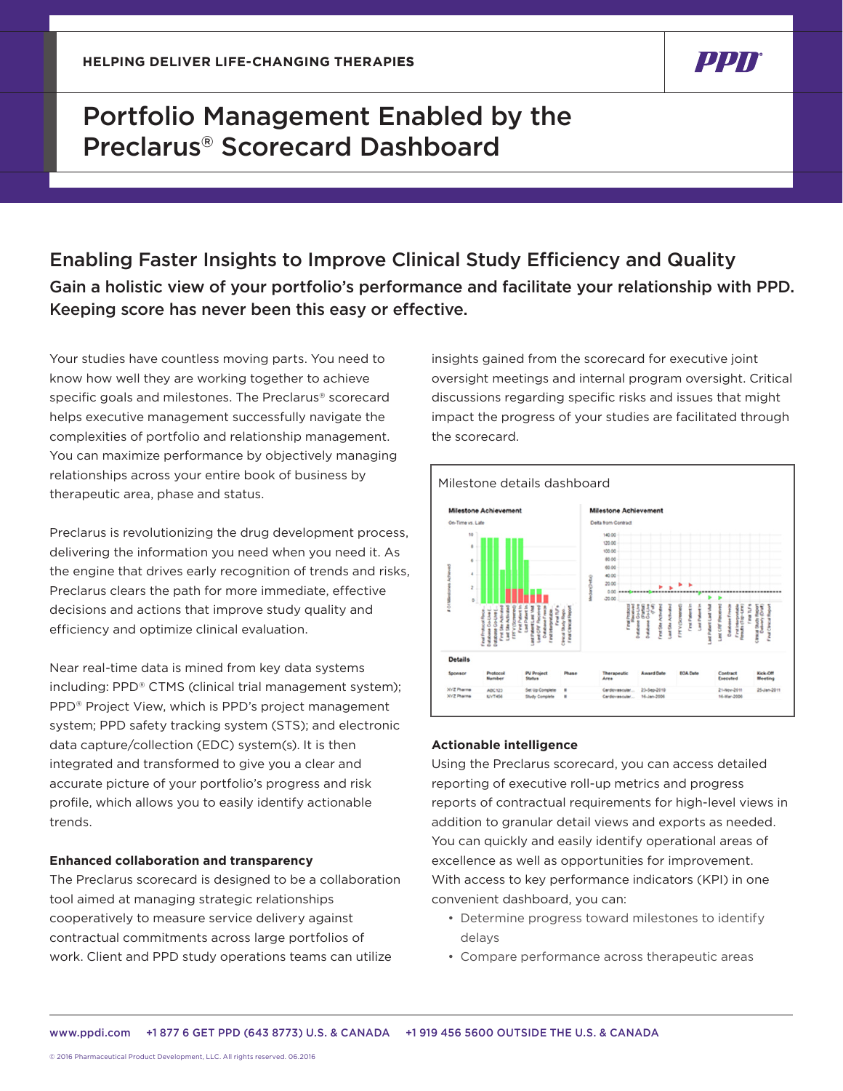## Portfolio Management Enabled by the Preclarus® Scorecard Dashboard

## Enabling Faster Insights to Improve Clinical Study Efficiency and Quality Gain a holistic view of your portfolio's performance and facilitate your relationship with PPD. Keeping score has never been this easy or effective.

Your studies have countless moving parts. You need to know how well they are working together to achieve specific goals and milestones. The Preclarus® scorecard helps executive management successfully navigate the complexities of portfolio and relationship management. You can maximize performance by objectively managing relationships across your entire book of business by therapeutic area, phase and status.

Preclarus is revolutionizing the drug development process, delivering the information you need when you need it. As the engine that drives early recognition of trends and risks, Preclarus clears the path for more immediate, effective decisions and actions that improve study quality and efficiency and optimize clinical evaluation.

Near real-time data is mined from key data systems including: PPD® CTMS (clinical trial management system); PPD® Project View, which is PPD's project management system; PPD safety tracking system (STS); and electronic data capture/collection (EDC) system(s). It is then integrated and transformed to give you a clear and accurate picture of your portfolio's progress and risk profile, which allows you to easily identify actionable trends.

## **Enhanced collaboration and transparency**

The Preclarus scorecard is designed to be a collaboration tool aimed at managing strategic relationships cooperatively to measure service delivery against contractual commitments across large portfolios of work. Client and PPD study operations teams can utilize

insights gained from the scorecard for executive joint oversight meetings and internal program oversight. Critical discussions regarding specific risks and issues that might impact the progress of your studies are facilitated through the scorecard.

'חפט



## **Actionable intelligence**

Using the Preclarus scorecard, you can access detailed reporting of executive roll-up metrics and progress reports of contractual requirements for high-level views in addition to granular detail views and exports as needed. You can quickly and easily identify operational areas of excellence as well as opportunities for improvement. With access to key performance indicators (KPI) in one convenient dashboard, you can:

- Determine progress toward milestones to identify delays
- Compare performance across therapeutic areas